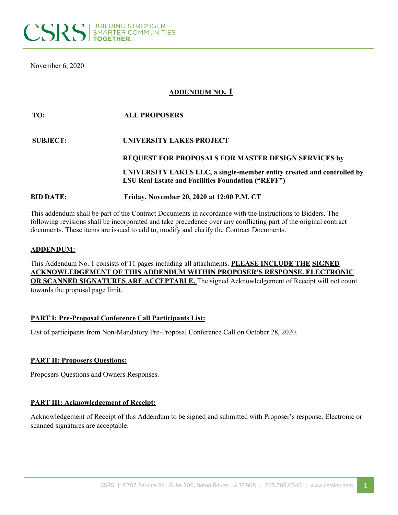

November 6, 2020

# **ADDENDUM NO. 1**

| TO:              | <b>ALL PROPOSERS</b>                                                                                                                |
|------------------|-------------------------------------------------------------------------------------------------------------------------------------|
| <b>SUBJECT:</b>  | UNIVERSITY LAKES PROJECT                                                                                                            |
|                  | REQUEST FOR PROPOSALS FOR MASTER DESIGN SERVICES by                                                                                 |
|                  | UNIVERSITY LAKES LLC, a single-member entity created and controlled by<br><b>LSU Real Estate and Facilities Foundation ("REFF")</b> |
| <b>BID DATE:</b> | Friday, November 20, 2020 at 12:00 P.M. CT                                                                                          |

This addendum shall be part of the Contract Documents in accordance with the Instructions to Bidders. The following revisions shall be incorporated and take precedence over any conflicting part of the original contract documents. These items are issued to add to, modify and clarify the Contract Documents.

## **ADDENDUM:**

This Addendum No. 1 consists of 11 pages including all attachments. **PLEASE INCLUDE THE SIGNED ACKNOWLEDGEMENT OF THIS ADDENDUM WITHIN PROPOSER'S RESPONSE. ELECTRONIC OR SCANNED SIGNATURES ARE ACCEPTABLE.** The signed Acknowledgement of Receipt will not count towards the proposal page limit.

## **PART I: Pre-Proposal Conference Call Participants List:**

List of participants from Non-Mandatory Pre-Proposal Conference Call on October 28, 2020.

## **PART II: Proposers Questions:**

Proposers Questions and Owners Responses.

## **PART III: Acknowledgement of Receipt:**

Acknowledgement of Receipt of this Addendum to be signed and submitted with Proposer's response. Electronic or scanned signatures are acceptable.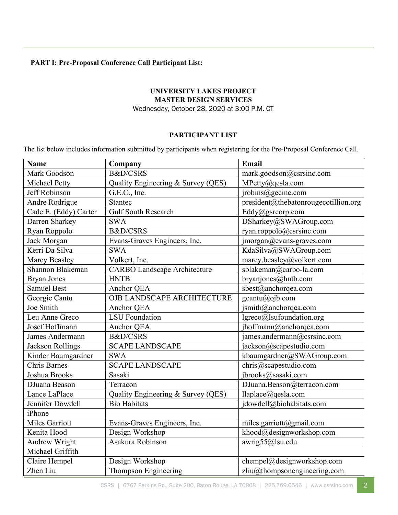# **PART I: Pre-Proposal Conference Call Participant List:**

## **UNIVERSITY LAKES PROJECT MASTER DESIGN SERVICES** Wednesday, October 28, 2020 at 3:00 P.M. CT

## **PARTICIPANT LIST**

The list below includes information submitted by participants when registering for the Pre-Proposal Conference Call.

| <b>Name</b>             | Company                             | Email                                |
|-------------------------|-------------------------------------|--------------------------------------|
| Mark Goodson            | <b>B&amp;D/CSRS</b>                 | mark.goodson@csrsinc.com             |
| Michael Petty           | Quality Engineering & Survey (QES)  | MPetty@qesla.com                     |
| Jeff Robinson           | G.E.C., Inc.                        | jrobins@gecinc.com                   |
| Andre Rodrigue          | <b>Stantec</b>                      | president@thebatonrougecotillion.org |
| Cade E. (Eddy) Carter   | <b>Gulf South Research</b>          | Eddy@gsrcorp.com                     |
| Darren Sharkey          | <b>SWA</b>                          | DSharkey@SWAGroup.com                |
| Ryan Roppolo            | <b>B&amp;D/CSRS</b>                 | ryan.roppolo@csrsinc.com             |
| Jack Morgan             | Evans-Graves Engineers, Inc.        | jmorgan@evans-graves.com             |
| Kerri Da Silva          | <b>SWA</b>                          | KdaSilva@SWAGroup.com                |
| Marcy Beasley           | Volkert, Inc.                       | marcy.beasley@volkert.com            |
| Shannon Blakeman        | <b>CARBO Landscape Architecture</b> | sblakeman@carbo-la.com               |
| <b>Bryan Jones</b>      | <b>HNTB</b>                         | bryanjones@hntb.com                  |
| <b>Samuel Best</b>      | Anchor QEA                          | sbest@anchorqea.com                  |
| Georgie Cantu           | OJB LANDSCAPE ARCHITECTURE          | gcantu@ojb.com                       |
| Joe Smith               | Anchor QEA                          | jsmith@anchorqea.com                 |
| Leu Anne Greco          | <b>LSU</b> Foundation               | lgreco@lsufoundation.org             |
| Josef Hoffmann          | Anchor QEA                          | jhoffmann@anchorqea.com              |
| James Andermann         | <b>B&amp;D/CSRS</b>                 | james.andermann@csrsinc.com          |
| <b>Jackson Rollings</b> | <b>SCAPE LANDSCAPE</b>              | jackson@scapestudio.com              |
| Kinder Baumgardner      | <b>SWA</b>                          | kbaumgardner@SWAGroup.com            |
| <b>Chris Barnes</b>     | <b>SCAPE LANDSCAPE</b>              | chris@scapestudio.com                |
| Joshua Brooks           | Sasaki                              | jbrooks@sasaki.com                   |
| DJuana Beason           | Terracon                            | DJuana.Beason@terracon.com           |
| Lance LaPlace           | Quality Engineering & Survey (QES)  | llaplace@qesla.com                   |
| Jennifer Dowdell        | <b>Bio Habitats</b>                 | jdowdell@biohabitats.com             |
| iPhone                  |                                     |                                      |
| Miles Garriott          | Evans-Graves Engineers, Inc.        | miles.garriott@gmail.com             |
| Kenita Hood             | Design Workshop                     | khood@designworkshop.com             |
| Andrew Wright           | Asakura Robinson                    | awrig55@lsu.edu                      |
| Michael Griffith        |                                     |                                      |
| Claire Hempel           | Design Workshop                     | chempel@designworkshop.com           |
| Zhen Liu                | Thompson Engineering                | zliu@thompsonengineering.com         |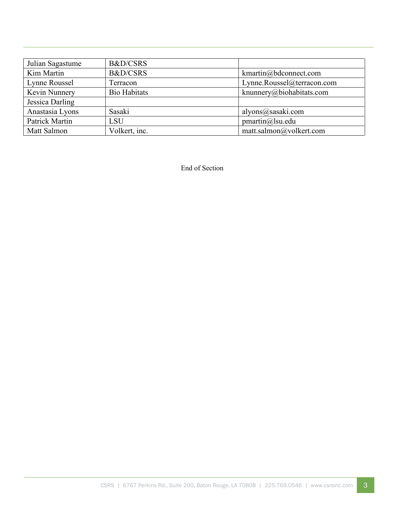| Julian Sagastume | <b>B&amp;D/CSRS</b> |                            |
|------------------|---------------------|----------------------------|
| Kim Martin       | <b>B&amp;D/CSRS</b> | kmartin@bdconnect.com      |
| Lynne Roussel    | Terracon            | Lynne.Roussel@terracon.com |
| Kevin Nunnery    | <b>Bio Habitats</b> | knunnery@biohabitats.com   |
| Jessica Darling  |                     |                            |
| Anastasia Lyons  | Sasaki              | alyons@sasaki.com          |
| Patrick Martin   | <b>LSU</b>          | pmartin@lsu.edu            |
| Matt Salmon      | Volkert, inc.       | matt.salmon@volkert.com    |

End of Section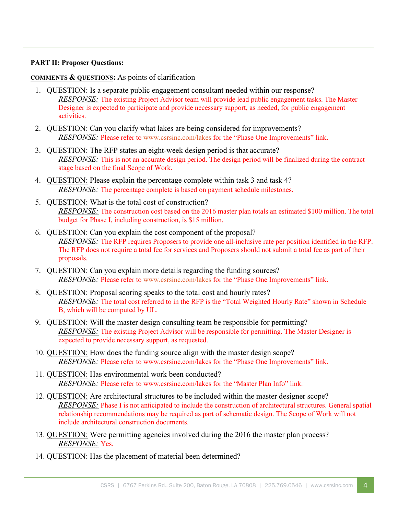## **PART II: Proposer Questions:**

## **COMMENTS & QUESTIONS:** As points of clarification

- 1. QUESTION: Is a separate public engagement consultant needed within our response? *RESPONSE:* The existing Project Advisor team will provide lead public engagement tasks. The Master Designer is expected to participate and provide necessary support, as needed, for public engagement activities.
- 2. QUESTION: Can you clarify what lakes are being considered for improvements? *RESPONSE:* Please refer to [www.csrsinc.com/lakes](http://www.csrsinc.com/lakes) for the "Phase One Improvements" link.
- 3. QUESTION: The RFP states an eight-week design period is that accurate? *RESPONSE:* This is not an accurate design period. The design period will be finalized during the contract stage based on the final Scope of Work.
- 4. QUESTION: Please explain the percentage complete within task 3 and task 4? *RESPONSE*: The percentage complete is based on payment schedule milestones.
- 5. QUESTION: What is the total cost of construction? *RESPONSE:* The construction cost based on the 2016 master plan totals an estimated \$100 million. The total budget for Phase I, including construction, is \$15 million.
- 6. QUESTION: Can you explain the cost component of the proposal? *RESPONSE:* The RFP requires Proposers to provide one all-inclusive rate per position identified in the RFP. The RFP does not require a total fee for services and Proposers should not submit a total fee as part of their proposals.
- 7. QUESTION: Can you explain more details regarding the funding sources? *RESPONSE:* Please refer to [www.csrsinc.com/lakes](http://www.csrsinc.com/lakes) for the "Phase One Improvements" link.
- 8. QUESTION: Proposal scoring speaks to the total cost and hourly rates? *RESPONSE:* The total cost referred to in the RFP is the "Total Weighted Hourly Rate" shown in Schedule B, which will be computed by UL.
- 9. QUESTION: Will the master design consulting team be responsible for permitting? *RESPONSE:* The existing Project Advisor will be responsible for permitting. The Master Designer is expected to provide necessary support, as requested.
- 10. QUESTION: How does the funding source align with the master design scope? *RESPONSE:* Please refer to www.csrsinc.com/lakes for the "Phase One Improvements" link.
- 11. QUESTION: Has environmental work been conducted? *RESPONSE:* Please refer to www.csrsinc.com/lakes for the "Master Plan Info" link.
- 12. QUESTION: Are architectural structures to be included within the master designer scope? *RESPONSE:* Phase I is not anticipated to include the construction of architectural structures. General spatial relationship recommendations may be required as part of schematic design. The Scope of Work will not include architectural construction documents.
- 13. QUESTION: Were permitting agencies involved during the 2016 the master plan process? *RESPONSE:* Yes.
- 14. QUESTION: Has the placement of material been determined?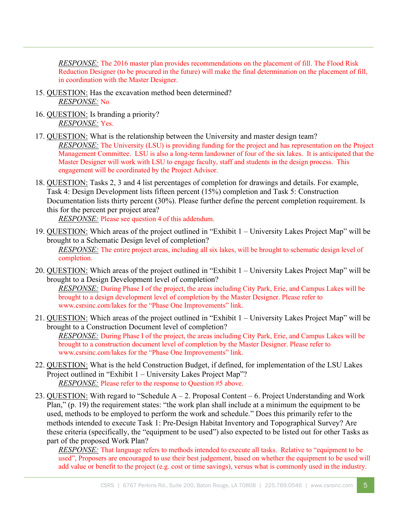*RESPONSE:* The 2016 master plan provides recommendations on the placement of fill. The Flood Risk Reduction Designer (to be procured in the future) will make the final determination on the placement of fill, in coordination with the Master Designer.

- 15. QUESTION: Has the excavation method been determined? *RESPONSE:* No
- 16. QUESTION: Is branding a priority? *RESPONSE:* Yes.
- 17. QUESTION: What is the relationship between the University and master design team? *RESPONSE:* The University (LSU) is providing funding for the project and has representation on the Project Management Committee. LSU is also a long-term landowner of four of the six lakes. It is anticipated that the Master Designer will work with LSU to engage faculty, staff and students in the design process. This engagement will be coordinated by the Project Advisor.
- 18. QUESTION: Tasks 2, 3 and 4 list percentages of completion for drawings and details. For example, Task 4: Design Development lists fifteen percent (15%) completion and Task 5: Construction Documentation lists thirty percent (30%). Please further define the percent completion requirement. Is this for the percent per project area?

*RESPONSE:* Please see question 4 of this addendum.

- 19. QUESTION: Which areas of the project outlined in "Exhibit 1 University Lakes Project Map" will be brought to a Schematic Design level of completion? *RESPONSE*: The entire project areas, including all six lakes, will be brought to schematic design level of completion.
- 20. QUESTION: Which areas of the project outlined in "Exhibit 1 University Lakes Project Map" will be brought to a Design Development level of completion? *RESPONSE:* During Phase I of the project, the areas including City Park, Erie, and Campus Lakes will be brought to a design development level of completion by the Master Designer. Please refer to www.csrsinc.com/lakes for the "Phase One Improvements" link.
- 21. QUESTION: Which areas of the project outlined in "Exhibit 1 University Lakes Project Map" will be brought to a Construction Document level of completion? *RESPONSE:* During Phase I of the project, the areas including City Park, Erie, and Campus Lakes will be brought to a construction document level of completion by the Master Designer. Please refer to www.csrsinc.com/lakes for the "Phase One Improvements" link.
- 22. QUESTION: What is the held Construction Budget, if defined, for implementation of the LSU Lakes Project outlined in "Exhibit 1 – University Lakes Project Map"? *RESPONSE:* Please refer to the response to Question #5 above.
- 23. QUESTION: With regard to "Schedule  $A 2$ . Proposal Content 6. Project Understanding and Work Plan," (p. 19) the requirement states: "the work plan shall include at a minimum the equipment to be used, methods to be employed to perform the work and schedule." Does this primarily refer to the methods intended to execute Task 1: Pre-Design Habitat Inventory and Topographical Survey? Are these criteria (specifically, the "equipment to be used") also expected to be listed out for other Tasks as part of the proposed Work Plan?

*RESPONSE:* That language refers to methods intended to execute all tasks. Relative to "equipment to be used", Proposers are encouraged to use their best judgement, based on whether the equipment to be used will add value or benefit to the project (e.g. cost or time savings), versus what is commonly used in the industry.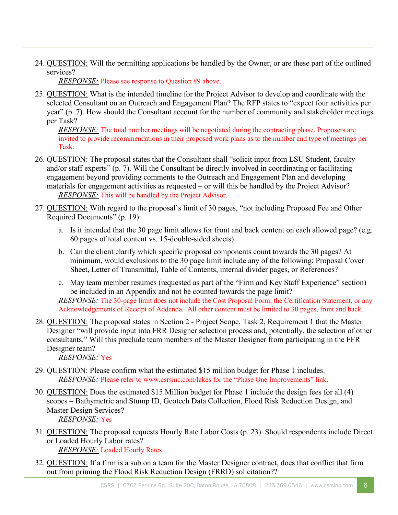24. QUESTION: Will the permitting applications be handled by the Owner, or are these part of the outlined services?

*RESPONSE:* Please see response to Question #9 above.

25. QUESTION: What is the intended timeline for the Project Advisor to develop and coordinate with the selected Consultant on an Outreach and Engagement Plan? The RFP states to "expect four activities per year" (p. 7). How should the Consultant account for the number of community and stakeholder meetings per Task?

*RESPONSE:* The total number meetings will be negotiated during the contracting phase. Proposers are invited to provide recommendations in their proposed work plans as to the number and type of meetings per Task.

- 26. QUESTION: The proposal states that the Consultant shall "solicit input from LSU Student, faculty and/or staff experts" (p. 7). Will the Consultant be directly involved in coordinating or facilitating engagement beyond providing comments to the Outreach and Engagement Plan and developing materials for engagement activities as requested – or will this be handled by the Project Advisor? *RESPONSE:* This will be handled by the Project Advisor.
- 27. QUESTION: With regard to the proposal's limit of 30 pages, "not including Proposed Fee and Other Required Documents" (p. 19):
	- a. Is it intended that the 30 page limit allows for front and back content on each allowed page? (e.g. 60 pages of total content vs. 15-double-sided sheets)
	- b. Can the client clarify which specific proposal components count towards the 30 pages? At minimum, would exclusions to the 30 page limit include any of the following: Proposal Cover Sheet, Letter of Transmittal, Table of Contents, internal divider pages, or References?
	- c. May team member resumes (requested as part of the "Firm and Key Staff Experience" section) be included in an Appendix and not be counted towards the page limit? *RESPONSE:* The 30-page limit does not include the Cost Proposal Form, the Certification Statement, or any Acknowledgements of Receipt of Addenda. All other content must be limited to 30 pages, front and back.
- 28. QUESTION: The proposal states in Section 2 Project Scope, Task 2, Requirement 1 that the Master Designer "will provide input into FRR Designer selection process and, potentially, the selection of other consultants." Will this preclude team members of the Master Designer from participating in the FFR Designer team?

*RESPONSE:* Yes

- 29. QUESTION: Please confirm what the estimated \$15 million budget for Phase 1 includes. *RESPONSE:* Please refer to www.csrsinc.com/lakes for the "Phase One Improvements" link.
- 30. QUESTION: Does the estimated \$15 Million budget for Phase 1 include the design fees for all (4) scopes – Bathymetric and Stump ID, Geotech Data Collection, Flood Risk Reduction Design, and Master Design Services? *RESPONSE:* Yes
- 31. QUESTION: The proposal requests Hourly Rate Labor Costs (p. 23). Should respondents include Direct or Loaded Hourly Labor rates? *RESPONSE:* Loaded Hourly Rates
- 32. QUESTION: If a firm is a sub on a team for the Master Designer contract, does that conflict that firm out from priming the Flood Risk Reduction Design (FRRD) solicitation??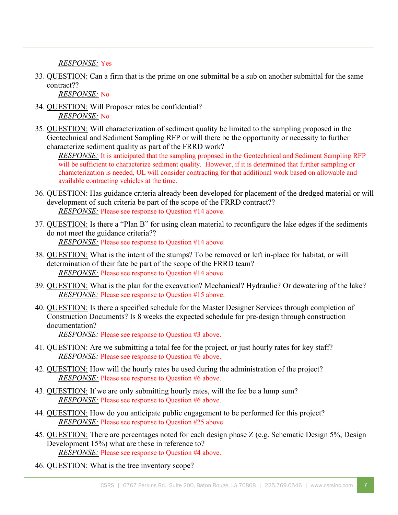*RESPONSE:* Yes

33. QUESTION: Can a firm that is the prime on one submittal be a sub on another submittal for the same contract??

*RESPONSE:* No

- 34. QUESTION: Will Proposer rates be confidential? *RESPONSE:* No
- 35. QUESTION: Will characterization of sediment quality be limited to the sampling proposed in the Geotechnical and Sediment Sampling RFP or will there be the opportunity or necessity to further characterize sediment quality as part of the FRRD work?

*RESPONSE:* It is anticipated that the sampling proposed in the Geotechnical and Sediment Sampling RFP will be sufficient to characterize sediment quality. However, if it is determined that further sampling or characterization is needed, UL will consider contracting for that additional work based on allowable and available contracting vehicles at the time.

- 36. QUESTION: Has guidance criteria already been developed for placement of the dredged material or will development of such criteria be part of the scope of the FRRD contract?? *RESPONSE:* Please see response to Question #14 above.
- 37. QUESTION: Is there a "Plan B" for using clean material to reconfigure the lake edges if the sediments do not meet the guidance criteria?? *RESPONSE:* Please see response to Question #14 above.
- 38. QUESTION: What is the intent of the stumps? To be removed or left in-place for habitat, or will determination of their fate be part of the scope of the FRRD team? *RESPONSE:* Please see response to Question #14 above.
- 39. QUESTION: What is the plan for the excavation? Mechanical? Hydraulic? Or dewatering of the lake? *RESPONSE:* Please see response to Question #15 above.
- 40. QUESTION: Is there a specified schedule for the Master Designer Services through completion of Construction Documents? Is 8 weeks the expected schedule for pre-design through construction documentation?

*RESPONSE:* Please see response to Question #3 above.

- 41. QUESTION: Are we submitting a total fee for the project, or just hourly rates for key staff? *RESPONSE:* Please see response to Question #6 above.
- 42. QUESTION: How will the hourly rates be used during the administration of the project? *RESPONSE:* Please see response to Question #6 above.
- 43. QUESTION: If we are only submitting hourly rates, will the fee be a lump sum? *RESPONSE:* Please see response to Question #6 above.
- 44. QUESTION: How do you anticipate public engagement to be performed for this project? *RESPONSE:* Please see response to Question #25 above.
- 45. QUESTION: There are percentages noted for each design phase Z (e.g. Schematic Design 5%, Design Development 15%) what are these in reference to? *RESPONSE:* Please see response to Question #4 above.
- 46. QUESTION: What is the tree inventory scope?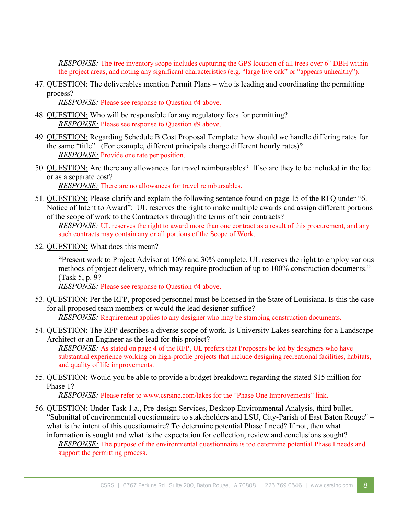*RESPONSE:* The tree inventory scope includes capturing the GPS location of all trees over 6" DBH within the project areas, and noting any significant characteristics (e.g. "large live oak" or "appears unhealthy").

47. QUESTION: The deliverables mention Permit Plans – who is leading and coordinating the permitting process?

*RESPONSE:* Please see response to Question #4 above.

- 48. QUESTION: Who will be responsible for any regulatory fees for permitting? *RESPONSE:* Please see response to Question #9 above.
- 49. QUESTION: Regarding Schedule B Cost Proposal Template: how should we handle differing rates for the same "title". (For example, different principals charge different hourly rates)? *RESPONSE:* Provide one rate per position.
- 50. QUESTION: Are there any allowances for travel reimbursables? If so are they to be included in the fee or as a separate cost?

*RESPONSE:* There are no allowances for travel reimbursables.

51. QUESTION: Please clarify and explain the following sentence found on page 15 of the RFQ under "6. Notice of Intent to Award": UL reserves the right to make multiple awards and assign different portions of the scope of work to the Contractors through the terms of their contracts?

*RESPONSE*: UL reserves the right to award more than one contract as a result of this procurement, and any such contracts may contain any or all portions of the Scope of Work.

52. QUESTION: What does this mean?

"Present work to Project Advisor at 10% and 30% complete. UL reserves the right to employ various methods of project delivery, which may require production of up to 100% construction documents." (Task 5, p. 9?

*RESPONSE:* Please see response to Question #4 above.

53. QUESTION: Per the RFP, proposed personnel must be licensed in the State of Louisiana. Is this the case for all proposed team members or would the lead designer suffice?

*RESPONSE:* Requirement applies to any designer who may be stamping construction documents.

54. QUESTION: The RFP describes a diverse scope of work. Is University Lakes searching for a Landscape Architect or an Engineer as the lead for this project?

*RESPONSE:* As stated on page 4 of the RFP, UL prefers that Proposers be led by designers who have substantial experience working on high-profile projects that include designing recreational facilities, habitats, and quality of life improvements.

55. QUESTION: Would you be able to provide a budget breakdown regarding the stated \$15 million for Phase 1?

*RESPONSE:* Please refer to www.csrsinc.com/lakes for the "Phase One Improvements" link.

56. QUESTION: Under Task 1.a., Pre-design Services, Desktop Environmental Analysis, third bullet, "Submittal of environmental questionnaire to stakeholders and LSU, City-Parish of East Baton Rouge" – what is the intent of this questionnaire? To determine potential Phase I need? If not, then what information is sought and what is the expectation for collection, review and conclusions sought?

*RESPONSE:* The purpose of the environmental questionnaire is too determine potential Phase I needs and support the permitting process.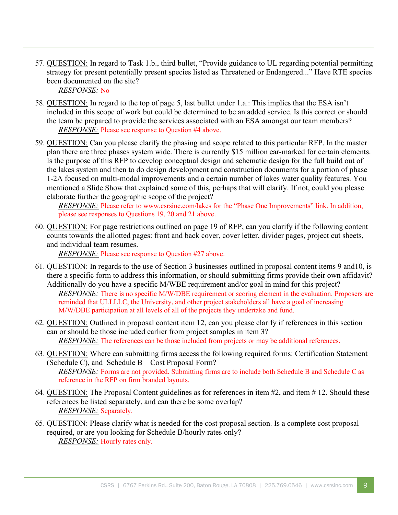57. QUESTION: In regard to Task 1.b., third bullet, "Provide guidance to UL regarding potential permitting strategy for present potentially present species listed as Threatened or Endangered..." Have RTE species been documented on the site? *RESPONSE:* No

58. QUESTION: In regard to the top of page 5, last bullet under 1.a.: This implies that the ESA isn't included in this scope of work but could be determined to be an added service. Is this correct or should the team be prepared to provide the services associated with an ESA amongst our team members? *RESPONSE:* Please see response to Question #4 above.

59. QUESTION: Can you please clarify the phasing and scope related to this particular RFP. In the master plan there are three phases system wide. There is currently \$15 million ear-marked for certain elements. Is the purpose of this RFP to develop conceptual design and schematic design for the full build out of the lakes system and then to do design development and construction documents for a portion of phase 1-2A focused on multi-modal improvements and a certain number of lakes water quality features. You mentioned a Slide Show that explained some of this, perhaps that will clarify. If not, could you please elaborate further the geographic scope of the project?

*RESPONSE*: Please refer to www.csrsinc.com/lakes for the "Phase One Improvements" link. In addition, please see responses to Questions 19, 20 and 21 above.

60. QUESTION: For page restrictions outlined on page 19 of RFP, can you clarify if the following content counts towards the allotted pages: front and back cover, cover letter, divider pages, project cut sheets, and individual team resumes.

*RESPONSE:* Please see response to Question #27 above.

- 61. QUESTION: In regards to the use of Section 3 businesses outlined in proposal content items 9 and10, is there a specific form to address this information, or should submitting firms provide their own affidavit? Additionally do you have a specific M/WBE requirement and/or goal in mind for this project? *RESPONSE:* There is no specific M/W/DBE requirement or scoring element in the evaluation. Proposers are reminded that ULLLLC, the University, and other project stakeholders all have a goal of increasing M/W/DBE participation at all levels of all of the projects they undertake and fund.
- 62. QUESTION: Outlined in proposal content item 12, can you please clarify if references in this section can or should be those included earlier from project samples in item 3? *RESPONSE:* The references can be those included from projects or may be additional references.
- 63. QUESTION: Where can submitting firms access the following required forms: Certification Statement (Schedule C), and Schedule B – Cost Proposal Form? *RESPONSE:* Forms are not provided. Submitting firms are to include both Schedule B and Schedule C as reference in the RFP on firm branded layouts.
- 64. QUESTION: The Proposal Content guidelines as for references in item #2, and item # 12. Should these references be listed separately, and can there be some overlap? *RESPONSE:* Separately.
- 65. QUESTION: Please clarify what is needed for the cost proposal section. Is a complete cost proposal required, or are you looking for Schedule B/hourly rates only? *RESPONSE:* Hourly rates only.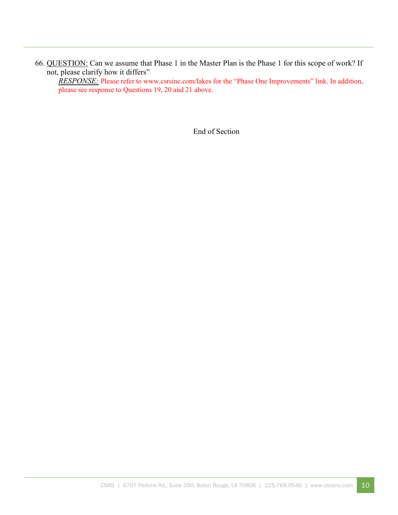66. QUESTION: Can we assume that Phase 1 in the Master Plan is the Phase 1 for this scope of work? If not, please clarify how it differs"

*RESPONSE:* Please refer to www.csrsinc.com/lakes for the "Phase One Improvements" link. In addition, please see response to Questions 19, 20 and 21 above.

End of Section